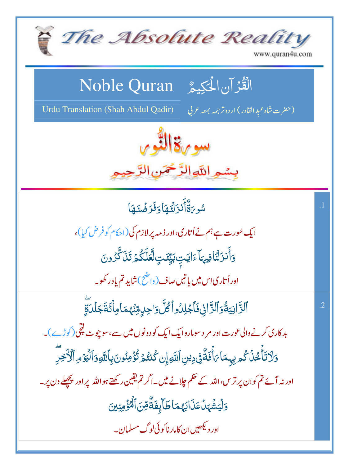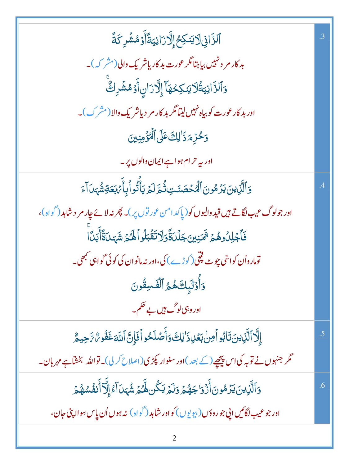| ٱڶڗَّٳڹ۞ڷؽٮؘڮڂٳٳؖڐۯٳڹؾۊٞٲۧۏٙڡ۠ۺ۫ڔػڐۧ                                                                     | .3     |
|----------------------------------------------------------------------------------------------------------|--------|
| بد کار مر د نہیں بیاہتا مگر عورت بد کاریاشر یک والی (مشر کہ)۔                                            |        |
| وَٱلزَّانِيَةُلَايَنكِحُهَاۤ إِلَّازَانِٲٛوۡمُشۡرِكٌ                                                     |        |
| اور بد کار عورت کو بیاہ نہیں لیتا مگر بد کار مر دیاشر یک والا (مشرک)۔                                    |        |
| وَحُرِّمَ زَالِكَ عَلَى ٱلْمُؤْمِنِينَ                                                                   |        |
| اور یہ حرام ہواہے ایمان والوں پر۔                                                                        |        |
| <u>و</u> َٱلَّذِينَ يَزَمُونَ ٱلۡمُحۡصَنَتِ تُٰٓمَّ لَمۡ یَأۡلُّوۡ اَبِأَٰٓ <i>مَٰٓ</i> بَعَةِشُّہَدَآءَ |        |
| اور جولوگ عیب لگاتے ہیں قید والیوں کو(پاکد امن عور توں پر)۔ پھر نہ لائے چار مر د شاہد (گواہ)،            |        |
| فَأَجۡلِلُوهُمۡ ثَمَنِينَ جَلۡلَاَةَۚوَلَاتَقۡبَلُواۡلَهُمۡ شَهَىٰلَآأَبَلَاۤا                           |        |
| تومارواُن کواس <sub>ؓ</sub> ی چوٹ پیچی (کوڑے ) کی،اور نہ مانوان کی کوئی گواہی کبھی۔                      |        |
| وَأَوْلَيْكَهُمُ ٱلْقَسِقُونَ                                                                            |        |
| اور وہی لوگ <del>ہی</del> ں بے حکم۔                                                                      |        |
| إِلَّا ٱلَّذِينَ تَابُواْمِنْ بَعۡلِ ذَٰ لِكَ وَأَصۡلَحُواۡفَإِنَّ ٱللَّهَ غَفُومٌ تَجِيمٌ               | .5     |
| مگر جنہوں نے توبہ کی اس پیچھیے(کے بعد )اور سنوار پکڑی(اصلاح کر لی)۔ تواللہ بخشاہے مہربان۔                |        |
| <u>ۅ</u> ؘٲڷۜڹۣؾؾؾڒڞۏڹٲٛۯ۬ۊٳڿۿڿۄؘۊڶڿڛٙػؙڽۿؖ۠ڬۄۺٞؠؘڹٳٙٵٵۣڷۣۜٳٙٲٛٮ۬ڨ۫ۺۿڿ                                   | $.6\,$ |
| اور جو عيب لگائيں اپي جو روؤں (بيو يوں ) کواور شاہد ( گواہ ) نہ ہوں اُن پاس سِواا پٽي جان،               |        |
|                                                                                                          |        |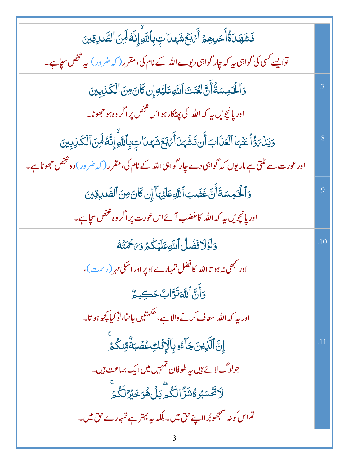| <b>فَشَهَدَةُ أَحَدِهِمْ أَيَّ بَعُشَهَدَا بِّ بِأَل</b> دَّهِ إِنَّهُ لَمِنَ ٱلصَّدِقِينَ                  |                |
|-------------------------------------------------------------------------------------------------------------|----------------|
| توایسے <i>کس</i> ی کی گواہی ہے کہ جار گواہی دیوے اللہ کے نام کی، مقرر ( کہ ضرور ) یہ شخص سجاہے۔             |                |
| وَٱلۡقَوِسَةُۚ أَنَّ لَعۡنَتَ ٱللَّهِ عَلَيۡهِۚ إِن كَانَ مِنَ ٱلۡكَٰذِبِينَ                                |                |
| اور پانچویں ہے کہ اللہ کی پھٹکار ہو اس شخص پر اگر وہ ہو حجھوٹا۔                                             |                |
| وَيَدۡ، وَۚ أَعَنۡهَا ٱلۡعَذَابَ أَن تَشۡهَىٰ آَمۡ، بَعَشَهَىٰ تِ بِٱللَّهِۚ إِنَّهُ لَمِنَ ٱلۡكَذِبِينَ    | $\overline{8}$ |
| اور عورت سے ٹلتی ہے ماریوں کہ گواہی دے جار گواہی اللہ کے نام کی،مقرر ( کہ ضرور ) وہ شخص حج <i>ھ</i> وٹا ہے۔ |                |
| وَٱلۡخَمِسَةَأَنَّ غَضَبَ ٱللَّهِ عَلَيۡهَاۤ إِن كَانَ مِنَ ٱلصَّدِقِينَ                                    | .9             |
| اور پانچویں ہے کہ اللہ کاغضب آئے اس عورت پر اگر وہ شخص سچاہے۔                                               |                |
| وَلَؤَلَافَضَلُ اللَّهِ عَلَيْكُمْ وَيَحْمَتُهُ                                                             | .10            |
| اور <sup>کب</sup> ھی نہ ہو تااللہ کافضل تمہارے اوپر اور اسکی مہر (رحمت )،                                   |                |
| 5أَنَّ اللَّهَ تَوَّابٌ حَكِيمٌ                                                                             |                |
| اور بہ کہ اللہ  معاف کرنے والا ہے، حکمتیں جانتا، تو کیا پچھ ہو تا۔                                          |                |
| ٳؚڹؖ۩ڷؘۜۯؚؾڹؘڿۜٳۧٷڔۣٵ۪ٱڶٳؚۏؘؙڮٷۻؙڹۊۨ۠ۊڹػۢؽۨ                                                                 | .11            |
| جولوگ لائے ہیں ہہ طوفان تہہیں میں ایک جماعت ہیں۔                                                            |                |
| ؚ<br>ڶٳڬٞۺڹۏ <sub>ڴ</sub> ۺٞڗؖٞٳڶػ۠ۿؖڔؠٙڶۿۅؘڂڹ <sup>ۣۄ</sup> ڷػ۠ۿۨ                                          |                |
| تم اس کونہ سمجھوبُر ااپنے حق میں۔ بلکہ یہ بہتر ہے تمہارے حق میں۔                                            |                |
|                                                                                                             |                |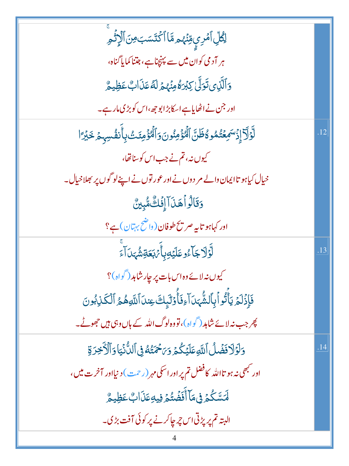| ڶؚڴڸۨٲڡٞڔۑؚٟۊڹ۫ؠٛۄۿۜٵٲڬۘؾؘۜڛؘؾ؈ؘٲڷٳۭ۬ڐۘ۫ۄؚۜ                                                     |     |
|-------------------------------------------------------------------------------------------------|-----|
| ہر آدمی کوان میں سے پہنچناہے، جتنا کمایا گناہ،                                                  |     |
| وَٱلَّذِى تَوَلَّىٰ كِبْرَهُ مِنْهُمْ لَهُ عَذَابٌ عَظِيمٌ                                      |     |
| اور جن نے اٹھایاہے اسکابڑ ابو جھ ،اس کو بڑکی مارہے۔                                             |     |
| لَّوْلَا إِزْسَمِعْتُمُوهُ ظَنَّ اَلْمُؤْمِنُونَ وَالْمُؤْمِنَتْ بِأَنفُسِهِمْ خَبْرًا          | .12 |
| کیوں نہ، تم نے جب اس کو سناتھا،                                                                 |     |
| خیال کیاہو تاایمان والے مر دوں نے اور عور توں نے اپنے لوگوں پر بھلاخیال۔                        |     |
| <u>وَقَ</u> الُواْهَنَ ۖ إِفَكُ مُّبِينٌ                                                        |     |
| اور کہاہو تایہ صر پح طوفان(واضح بہتان) ہے؟                                                      |     |
| <b>لَّؤَلَاجَا</b> ٓءُوعَلَيۡهِ بِأَيۡهَٰبَكَةِشُّهَدَآءَ                                       | .13 |
| کیوں نہ لائے وہ اس بات پر جار شاہد (گواہ)؟                                                      |     |
| فَإِذۡلَمۡ یَأۡلُوۡاۡبِٱلشَّٰہَدَآاَءِفَأَوۡلَٰٓیَاتَ عِندَاۤاللَّهِۿُمُّ ٱلۡكَٰٓذِبُونَ        |     |
| کچر جب نہ لائے شاہد (گواہ)، تووہ لوگ اللہ کے ہاں وہی ہیں جھوٹے۔                                 |     |
| وَلَوَلَا فَضَلْ اللَّهِ عَلَيْكُمْ وَيَحْمَتُهُ فِي اللَّانَيَا وَٱلْأَخِرَةِ                  | .14 |
| اور <sup>کب</sup> ھی نہ ہو تااللہ کافضل تم پر اور اسکی مہر (رح <sub>ت)</sub> دنیااور آخرت میں ، |     |
| ڶ <i>ٙ</i> ٮؘۺۜػۢۮ؋ۣڡؘٲٲؘڣؘڞؙؾ۠ۮڣۣۑۊؚڡؘڶٲٮٖ۠؏ؘڟؚۣۑۄ۠                                            |     |
| البتہ تم پر پڑتی اس چر چاکرنے پر کوئی آفت بڑی۔                                                  |     |
|                                                                                                 |     |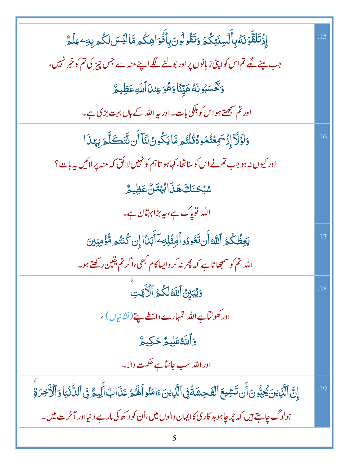| ٳؚۯ۬تَلَقَّوۡنَهُ بِأَلۡسِنَتِكُمۡ وَتَقُولُونَ بِأَفۡوَاهِكُم مَّالَيۡسَ لَكُم بِهِۦعِلۡمَّ   | .15 |
|------------------------------------------------------------------------------------------------|-----|
| جب لینے لگے تم اس کواپنی زبانوں پر اور بولنے لگے اپنے منہ سے جس چیز کی تم کو خبر نہیں،         |     |
| وَكَّكَسَبُونَهُ هَيِّنَّا وَهُوَ عِندَا ٱللَّهِ عَظِيمٌ                                       |     |
| اور تم س <u>مجھتے</u> ہو اس کو ہلکی بات۔اور <sub>س</sub> ے اللہ کے ہاں بہت بڑی ہے۔             |     |
| <u>و</u> َلَوْلَا إِذْسَمِعْتُمُوهُ قُلْتُم مَّا يَكُونُ لَّنَا أَن نَّتَكَلَّمَ بِهَذَا       | .16 |
| اور کیوں نہ ہو جب تم نے اس کو سناتھا، کہاہو تاہم کو نہیں لا کُق کہ منہ پر لائیں ہہ بات؟        |     |
| <i>ۺڹ۫ڂ</i> ڹؘڮؘۿڹؘٳڵؠؙؠٙ <i>ڐڽ۠</i> ؏ؘڟؚۣۑۿ                                                   |     |
| اللہ توپاک ہے، بہ بڑابہتان ہے۔                                                                 |     |
| يَعِظُكُمُ ٱللَّهُ أَن تَعُودُو ٱلْمِثْلِهِۦٓ أَبَدَّا إِن كُنتُم مُّؤْمِنِينَ                 | .17 |
| اللہ تم کو سمجھاتاہے کہ پھر نہ کر واپساکام کبھی،اگر تم یقین رکھتے ہو۔                          |     |
| وَيُبَيِّنُ ٱللَّهُ لَكُمُ ٱلْأَيَّتِ                                                          | .18 |
| اور کھولٹاہے اللہ تمہارے واسطے پتے(نشانیاں) ،                                                  |     |
| وَاللَّهُ عَلِيمٌ حَكِيمٌ                                                                      |     |
| اور الله سب <i>ج</i> انتاہے حکمت والا۔                                                         |     |
| ٳؚڹؖٞٱڶؖڔٛؾؗ؉ڲؚڹ۠ۘۏڹٲؘڹؾٙۺؽۼٱڶڡٓٛڿۺؘۃۢۏۣٱڶؖڔٛؾۦؘٵڡؘٮؙٛۏٱڶۿؽ؏ؘۮؘٲٮ۪۠ٲڶؚۢڸۑۄ۠ڣۣٱڶڵ۠ۮؙۑ۬ٵۏٲڷٲڿۯۊۨ | .19 |
| جولوگ چاہتے ہیں کہ چرچاہو بد کاری کاایمان والوں میں،اُن کو د کھ کی مارہے دینیااور آخرت میں۔    |     |
|                                                                                                |     |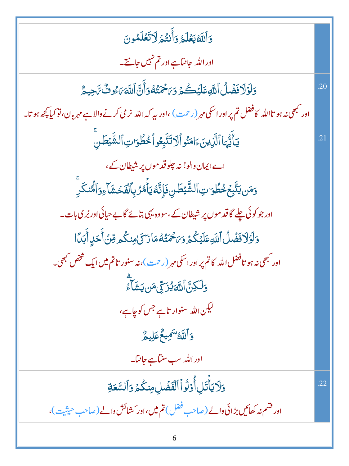| وَٱللَّهُ يَعۡلَمُ وَأَنتُمۡ لَاتَعَلَمُونَ                                                                                                  |                |
|----------------------------------------------------------------------------------------------------------------------------------------------|----------------|
| اور الله حانتاہے اور تم نہیں جانتے۔                                                                                                          |                |
| وَلَوَلَا فَضَلُ اللَّهِ عَلَيْكُمْ وَىَحْمَنُهُوَأَنَّ اللَّهَ ىَ وُثَّ تَاحِيمٌ                                                            | .20            |
| اور <sup>کب</sup> ھی نہ ہو تااللہ کافضل تم پر اور اسکی مہر (رحمت) ،اور بیہ کہ اللہ نر می کرنے والا ہے مہربان، تو کیا پ <del>چ</del> ھ ہو تا۔ |                |
| يَأَيُّهَا ٱلَّذِينَءَامَنُواْلَاتَتَّبِعُواْ خُطُوَاتِ ٱلشَّيْطَنِ                                                                          | $\overline{2}$ |
| اے ایمان دالو! نہ چلوقد موں پر شیطان کے،                                                                                                     |                |
| <u>و</u> َمَن يَتَّبِعُ خُطُوَاتِ ٱلشَّيْطَنِ فَإِنَّهُ يَأْمُرُ بِٱلْفَحۡشَآءِوَٱلۡنُنَكَرِ                                                 |                |
| اور جو کوئی چلے گا قد موں پر شیطان کے ،سو وہ یہی بتائے گا بے حیائی اور بُر کی بات۔                                                           |                |
| <u>و</u> َلَوْلَا فَضَٰلُ ٱللَّهِ عَلَيْكُمۡ وَيَحۡمَتُهُمَا زَكَىٰ مِنكُم مِّنۡ أَحَدٍ أَبَدَّا                                             |                |
| اور <sup>کب</sup> ھی نہ ہو تافضل اللہ کاتم پر اور اسکی مہر (رحمت )، نہ سنور تاتم میں ایک شخص کبھی۔                                           |                |
| <u>و</u> َلَكِنَّ اللَّهَ يُزَرِّى مَن يَشَأ <sup>َعِ</sup>                                                                                  |                |
| لیکن اللہ سنوار تاہے جس کوجاہے،                                                                                                              |                |
| وَٱللَّهُ <sup>س</sup> َمِيعٌ عَلِيمٌ                                                                                                        |                |
| اوراللہ سب سنتاہے جانتا۔                                                                                                                     |                |
| وَلَا يَأْتَلِ أُوۡلُوۡ ٱ ٱلۡفَضۡلِ مِنكُمۡ وَٱلسَّعَةِ                                                                                      | .22            |
| اور فتسم نہ کھائیں بڑائی دالے (صاحب فضل) تم میں،اور کشائش والے (صاحب حیثیت)،                                                                 |                |
|                                                                                                                                              |                |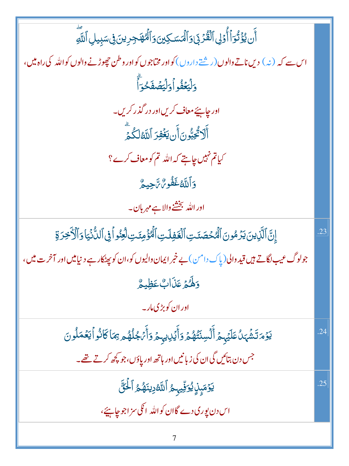أَن يُؤْتُوَأَأُوَلِى ٱلْقُرْبَىٰ وَٱلۡمَسَكِينَ وَٱلۡمُهۡجَرِينَ فِى سَبِيلِ ٱللَّهِ اس سے کہ (نہ) دیں ناتے دالوں(رشتے داروں) کو اور مخاجوں کواور وطن حچوڑنے والوں کواللہ کی راہ میں، وَلْيَعُفُواْ وَلَيْصُفَحْهَ اور چاہئے معاف کریں اور در گذر کریں۔ أَلَا ثُجِبُّونَ أَن يَغْفِرَ ٱللَّهُ لَكُمَّ کیاتم نہیں چاہتے کہ اللہ تم کو معاف کرے؟ وَأَللَّهُ غَفُورٌ تَ<sub>ا</sub>حِيهُمْ اور الله بخشخ والا ہے مہربان۔ إِنَّ ٱلَّذِينَ يَزَهُونَ ٱلْمُحْصَنَتِ ٱلْغَفِلَتِ ٱلْمُؤْمِنَتِ لَعِنُواْ فِى ٱلدُّنۡيَا وَٱلۡأَخِرَةِ .23 جولوگ عیب لگاتے ہیں قید والی (یاک دامن) بے خبر ایمان والیوں کو،ان کو پھٹکار ہے دنیامیں اور آخرت میں، وَلَهُمْ عَذَابٌ عَظِيمٌ اور ان کوبڑ کی مار۔ يَوۡمَ تَشۡهَالُ عَلَيۡہِمۡ أَلۡسِنَتُّهُمۡ وَأَيۡلِایہٖمۡ وَأَمۡجُلُهُم مِمَاكَانُواۡ یَعۡمَلُونَ .24 جس دن بتائیں گی ان کی زبانیں اور ہاتھ اور پاؤں، جو <u>پ</u>چھ کرتے تھے۔ يَوۡمَبِنۡ ِيُوَفِّيہِمُ ٱللَّهُۥِينَهُمُ ٱلۡخَنَّ .25 اس دن یوری دے گاان کواللّٰہ انکی سزاجوجاہیےَ، 7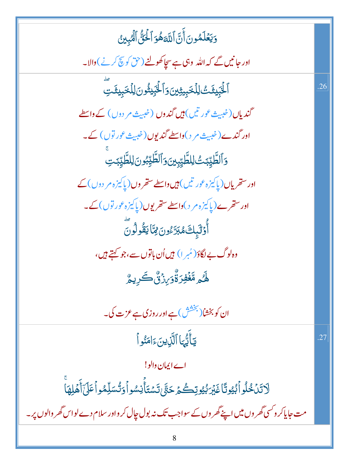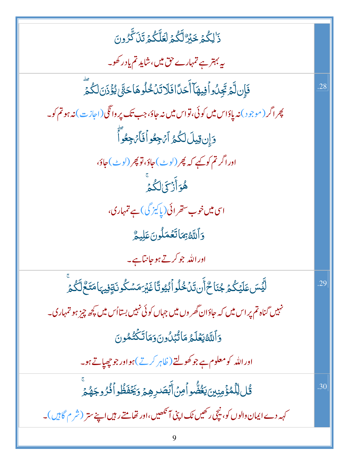| .<br>ذَالِكُمۡ خَبۡرٌ لَّكُمۡ لَعَلَّكُمۡ تَنۡ كَّرُونَ                                                      |     |
|--------------------------------------------------------------------------------------------------------------|-----|
| یہ بہتر ہے تمہارے حق میں،شاید تم یاد رکھو۔                                                                   |     |
| فَإِن لَّمَ تَجِنُ وافِيهَآ أَحَدًافَلَاتَنَ خُلُوهَا حَتَّىٰ يُؤُذَنَ لَكُمَّ                               | .28 |
| پھر اگر (موجود) نہ پاؤاس میں کوئی، تواس میں نہ جاؤ، جب تک پر واٹکی (اجازت) نہ ہو تم کو۔                      |     |
| دَإِن قِيلَ لَكُمُ أَنْ جِعُواْ فَأَنْ جِعُواًّ                                                              |     |
| اوراگر تم کوکیے کہ پھر (لوٹ)حاؤ، تو پھر (لوٹ)حاؤ،                                                            |     |
| ۿؙ <sub>ٙۊ</sub> ٲٙ <sub>ۯ۫</sub> ؠٙڶػؙۄۨ                                                                    |     |
| اسی <b>میں خوب</b> ستھرائی(یا کیز گی) ہے تمہاری،                                                             |     |
| دَاللَّهُ بِمَاتَعُمَلُونَ عَلِيمٌ                                                                           |     |
| اور اللہ جو کرتے ہو جانتاہے۔                                                                                 |     |
| ڵؖؿؙٙٙڛؘؾؘڶؽٙػ۠ؽٙ؋ػٲڂۨ۠ٲؘڹڗؘڹؙڂٛڶۅٲٛڹ۠ؿۏؾؘؑٵۼؘؿؘڗڡؘۺػۢۏٮؘۊٟڣۣۑؠؘٵڡؘٮۜٙڂ۠ڷػ۠ؽٙۨ                               | .29 |
| نہیں گناہ تم پر اس میں کہ جاؤان <i>گھر و</i> ں میں جہاں کوئی نہیں بستااُس میں <del>ک</del> چھ چیز ہو تمہاری۔ |     |
| وَٱللَّهُ يَعۡلَمُ مَاتُّبۡلُونَ وَمَاتَكۡتُمُونَ                                                            |     |
| اور الله کومعلوم ہے جو کھولتے ( ظاہر کرتے )ہو اور جو چھپاتے ہو۔                                              |     |
| <i>ۊٞٛ</i> ڶڵؚڷڡ۠ۏٙٛڡۣڹۣؾؾ <b>ؾؙڞۨ۠</b> ۅٲڡؚڽؙٲۧڹؘۘٙؗڞٙڔۿؚؽٙۯؘڲؘڡؘ۫ڟۢٚۅٲۘڡ۠ۢۯ۠ۅجؘۿ۠ؽٙۨ                       | .30 |
| کہہ دے ایمان والوں کو، نیچی رکھیں ٹک اپنی آنکھیں،اور تھامتے رہیں اپنے ستر (شر م گاہیں)۔                      |     |
|                                                                                                              |     |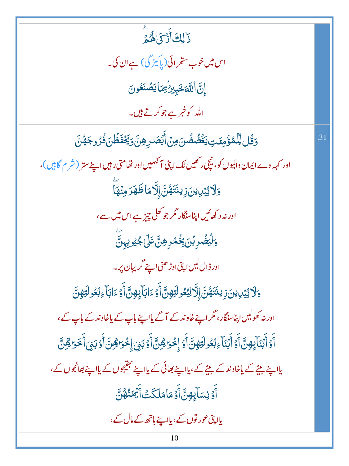.<br>ذَٰ لِكَ أَزْكَىٰ لَهُ مِ اس میں خوب ستھرائی(پاکیز گی) ہےان کی۔ إِنَّ ٱللَّهَ خَبِيرُ ٰٓ بِمَا يَصۡنَعُونَ اللہ کو خ<u>مرے جو کرتے ہیں</u>۔

<u>ۅٙۊ۠ڶڵۣ</u>ڷڡ۠ٷٙٛڡؚٸؘؾؚؠؘۼؙڞ۠ڞؙڽؘڡؚڹۡٲۨڹۘۻڔۿؚڹؖ؋ؚڲؘڡ۫ڟؙڹ؋ؙۯۅڄؘۿ۠ڹؖ اور کہہ دے ایمان والیوں کو، نیچی رکھیں ٹک اپنی آنکھیں اور تھامتی رہیں اپنے ستر (شر م گاہیں )، <u>ۅ</u>ٙڷٳؽۑ۫ڕؠڹؘۯؚؠڹ*ؾٙۿ۠ڹؖٞ*ٳ۪ٱۯۜۜ۠ٚڡؘٵڟؘۿؘۯڡؚڹ۫ۿٵؖ اور نہ د کھائیں اپناسنگار مگر جو کھلی چیز ہے اس میں سے ، ۘ<br>ۏڶٛؾڞؙڔڹ۬ڹؘڹؚڂٛ۠ڡ۠ڔۿؚڽٙٞٷٙڶ؏ڮؿۅؠؚؠڽؖ اور ڈال لیں اپنی اوڑ ھنی اپنے گریبان پر۔ <u>و</u>َلَا يُبْدِينَ زِينَتَهُنَّ إِلَّا لِبُعُولَتِهِنَّ أَوْءَابَآيِهِنَّ أَوْءَابَآءِ بُعُولَتِهِنَّ اور نہ کھولیں اپناسڈگار، مگر اپنے خاوند کے آگے پااپنے باپ کے پاخاوند کے باپ کے، أَوۡ أَبۡنَآؠٟڡٟنَّ أَوۡ أَبۡنَآءِبُعُولَتِهِنَّ أَوۡ إِخۡوَاهِنَّ أَوۡ بَنۡىَ إِخۡوَاهِنَّ أَوۡ بَنۡ أَخَوَاهِنّ یااپنے بیٹے کے یاخاوند کے بیٹے کے،پااپنے بھائی کے پااپنے جیتیجوں کے پااپنے بھانجوں کے، أَوۡ نِسَآبِهِنَّ أَوۡ مَامَلَكَتۡ أَیۡمَنۡهُنَّ یاا پنی عور توں کے، یااپنے ہاتھ کے مال کے،

.31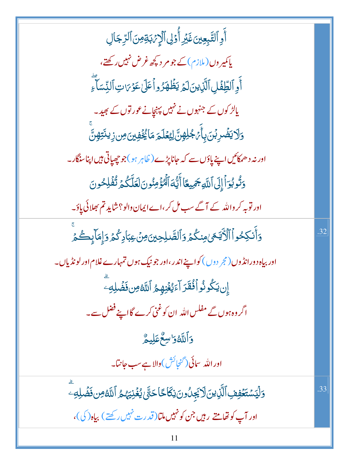أَوِ ٱلتَّبِعِينَ غَيْرِ أُوۡلِ ٱلۡإِنۡ بَةِ مِنَ ٱلرِّجَالِ یاکمیر وں (ملازم) کے جو مر دیکھ غرض نہیں رکھتے، أَوِ ٱلطِّفَلِ ٱلَّذِينَ لَمَرۡ يَظۡهَرُواۡ عَلَىٰ عَوۡمَاتِ ٱلنِّسَآءِ یالڑ کوں کے جنہوں نے نہیں پہنچانے عور توں کے بھید۔ <u>ۅ</u>ٙڷٳؾڞ۬ڔڹٙڹؘؠٲٛ*؆ڿ۠*ڶؚۿٟڽٞڶۣؽؚۼڷۄٙڡٙٲڲ۫ۼ۫ڣڹٶڹۯٟڽڐ*ؾؚ*ۿۣڹؓ اور نہ د ھمکائیں اپنے پاؤں سے کہ جانا پڑے ( ظاہر ہو )جو چھپاتی ہیں اپناسنگار۔ دَتُوبُوَاً إِلَى اللَّهِ جَمِيعًا أَيُّهَ الْمُؤْمِنُونَ لَعَلَّكُمْ تُفُلِحُونَ اور توبہ کر واللہ کے آگے سب مل کر ،اے ایمان والو؟ شاید تم بھلائی پاؤ۔ <u>و</u>َأَنكِحُواْ ٱلْأَيَّـعَىٰ مِنكُمْ وَٱلصَّلِحِينَ مِنْ عِبَادِكُمُ وَإِمَالِكُمْ .32 اور بیاہ دورانڈوں (مجر دوں ) کواپنے اندر ،اور جو نیک ہوں تمہارے غلام اور لونڈ پاں۔ إن يَكُونُواْ فُقَرَآءَيُغُنِهِمُّ اللَّهُ مِن فَضَٰلِهِ ۖ اگر وہ ہوں گے مفلس اللہ ان کوغنی کرے گااپنے فضل سے۔ وَأَللَّهُ وَاسِعٌ عَلِيمٌ اور الله سائی (<sup>گنجائش</sup>)والا ہےسب جانتا۔ وَلِّيَسْتَعْفِفِ ٱلَّذِينَ لَا يَجِلُونَ نِكَاحًا حَتَّىٰ يُغۡنِيَهُمُ ٱللَّهُ مِن فَضَٰلِهِۦ .33 اور آپ کو تھامتے رہیں جن کو نہیں ملتا(قدرت نہیں رکھتے) بیاہ (کی)، 11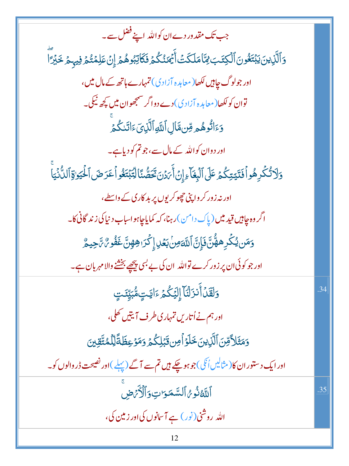| جب تک مقدور دےان کواللہ اپنے فضل سے۔                                                                                     |     |
|--------------------------------------------------------------------------------------------------------------------------|-----|
| <u>و</u> َٱلَّذِينَ يَبۡتَغُونَ ٱلۡكِتَبَ لِمَّاۚ مَلَكَتۡ أَيۡمَنُكُمۡ فَكَاٰتِبُوهُمۡ إِنۡ عَلِمۡتُمۡ فِيهِمۡ خَبۡرَّآ |     |
| اور جولوگ چاہیں لکھا( معاہدہ آزادی) تمہارے ہاتھ کے مال میں،                                                              |     |
| توان کولکھا( معاہدہ آزادی) دے دواگر سمجھوان میں کچھ نیکی۔                                                                |     |
| وَءَاتُوهُمِ وِّن مَّالِ ٱللَّهِ ٱلَّذِىَ ءَاتَنكُمۡ                                                                     |     |
| اور دوان کواللہ کے مال سے،جو تم کو دیاہے۔                                                                                |     |
| <u>و</u> َلَاتُكْرِهُوافَتَيَتِكُمُ عَلَى ٱلْبِغَآءِإِنْ أَيَرُنَ تَحَصُّنَا لِتَبْتَغُواْعَرَضَ ٱلْحُيَوٰةِ ٱلدُّنْيَا  |     |
| اور نہ زور کر واپنی چھوکریوں پر بد کاری کے واسطے،                                                                        |     |
| اگر وه چاپيں قيد ميں ( پاک دامن )رہنا، کہ کمايا چاہواساب د نيا کی زند گانی کا۔                                           |     |
| <u>و</u> َمَن يُكۡرِهَهُّنَّ؋َإِنَّ ٱللَّ <i>حَونۢڹعۡلِ إِكۡرَاهِهِنَّ غَفُو؆۠ تَّاحِيمٌّ</i>                            |     |
| اور جو کوئی ان پر زور کرے تواللہ ان کی بے بسی پیچھے بخشنے والا مہر بان ہے۔                                               |     |
| وَلَقَلۡأَنزَلۡنَآ إِلَيۡكُمۡ ءَايَتِ مُّبَيِّنَتِ                                                                       | .34 |
| اور ہم نے اُتاریں تمہاری طرف آیتیں تھلی،                                                                                 |     |
| <u>و</u> َمَثَلاً مِّنَ ٱلَّذِينَ خَلَوۡاۡمِن <b>ۚ تَ</b> بۡلِكُمۡ وَمَوۡعِظَةًلِّلۡلَمُتَّقِينَ                         |     |
| اور ایک دستور ان کا(مثالیں اُنگی)جو ہو چکے ہیں تم سے آگے (پہلے )اور نصیحت ڈر والوں کو۔                                   |     |
| أَللَّهُ نُومُ ٱلسَّمَرَاتِ وَٱلْأَرَضِ                                                                                  | .35 |
| اللہ روشنی(نور) ہے آسانوں کی اور زمین کی،                                                                                |     |
| 12                                                                                                                       |     |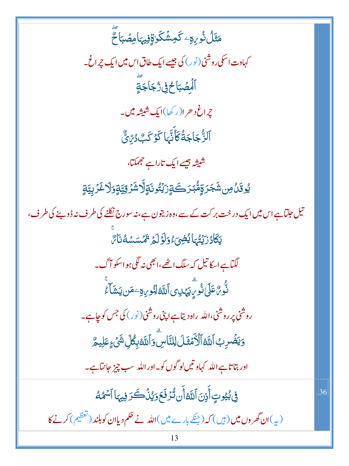مَثَلُ نُورِ<sub>ك</sub>ِ كَمِشْكَواةِفِيهَامِصُبَاحٌ کہاوت اسکی روشنی (نور) کی جیسے ایک طاق اس میں ایک چراغ۔ ٱلۡۡصۡبَاحُۗۛڣۣۡۯُّجَاجَةٍ جراغ د حرا(ر کھا)ایک شیشہ میں۔ ِ<br>ٱلزُّجَاجَةُ كَأَنَّهَا كَوۡ كَبُ دُرِّيَّ شیشہ جیسے ایک تاراہے جھمکتا، ؽۅۊؘٮۢٛ؈ۺؘڿؘۯۊؚؚٚڡ۠ٞڹۯۜ؎ٙۊٟۯؽٙؾ۠ۅٮؘۊٟڷٞٳۺۯۊؚؾۊ۪ۄؘۯڷٷٙڔؾۊ۪ تیل جلتاہے اس میں ایک درخت بر کت کے سے،وہ زیتون ہے،نہ سورج نکلنے کی طرف نہ ڈو بنے کی طرف، يَكَادُرَيْتُهَايُضِيَّءُوَلَوَلَمَ تَمَسَسُهُنَاسٌ لگیاہےاسکا تیل کہ سلگ اٹھے،ابھی نہ لگی ہواسکو آگ۔ ڹ<br>ٮ۠ۨۏۨ*ؽ۠*ػڶؽڶۏ۠ڔؖؾؠٞڮ۞ٱڵڶ*ڐڟۣڶؚڋٛۅۑ*ۊٷۺؾۺؘٲٷ۠ روشی پر روشنی،الله راه دیتاہ اپنی روشنی (نور) کی جس کوچاہے۔ **وَيَضُرِبُ ٱللَّهُ ٱلْأَمۡثَلَ لِلنَّاسِۚ وَٱللَّهُ بِكُلِّ شَيۡءٍ عَلِيمٌ** اور بتا تاہے اللہ کہاو تیں لو گوں کو۔اور اللہ سب چیز جانتاہے۔ فِي بُيُوتِ أَذِنَ اللَّهُ أَن تُزَفَعَ وَيُنۡكَرَ فِيهَا ٱسۡمُٰهُ .36 (پہ)ان گھروں میں (ہیں) کہ (جنگے بارے میں)اللہ نے حکم دیاان کوبلند (تعظیم) کرنے کا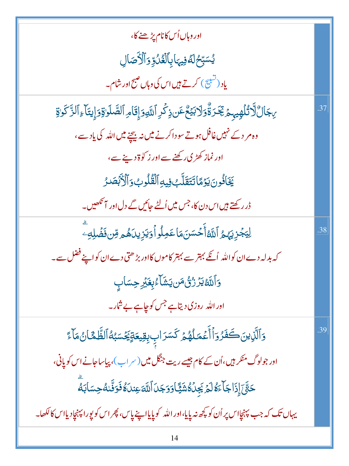| اور وہاں اُس کانام پڑھنے کا،                                                                                 |     |
|--------------------------------------------------------------------------------------------------------------|-----|
| ؽؗڛۜٙڹڂڶڡٞڣۣڽؠؘٳۑؚٲڶۼٞڷؙۊؚٚۯٲڷۯؘٚڞؘٳڸ                                                                        |     |
| یاد (تشییج) کرتے ہیں اس کی وہاں صبح اور شام۔                                                                 |     |
| <i>ۣ</i> ۑڮٳڵٞڵۯٮؙ۠ڷۿٟۑؠؚؽٙ <i>ڹٚڋؘۮ</i> ۊ۠ٞۏڶٳڹؽٙۨڠٞٸڹۮؚػ۬ڔۣٱڵڸٞۅۏٳۣۭڦؘٲۄؚٲڵڞؖڵۏۊٚۏٳؚۑؾؘٲۦؚٲڵڗٞػۏۊ          | 37  |
| وہ مر دے نہیں غافل ہوتے سوداکرنے میں نہ بیچنے میں اللہ کی یادے،                                              |     |
| اور نماز کھڑی رکھنے سے اور ز کو ۃ دینے سے،                                                                   |     |
| يَخَافُونَ يَوۡمَاتَتَقَلَّبُ فِيهِٱلۡقُلُوبُوَٱلۡأَبۡصَدُ                                                   |     |
| ڈر رکھتے ہیں اس دن کا، جس میں اُلٹے جائیں گے دل اور آنکھیں۔                                                  |     |
| لِيَجۡزِيَهُمُ ٱللَّهُ أَحۡسَنَهَاعَمِلُواۡ وَيَزِيدَهُمۡ مِّن فَضَٰلِهِۦ                                    | .38 |
| کہ بدلہ دےان کواللہ اُنکے بہتر سے بہتر کاموں کااور بڑھتی دےان کواپنے فضل سے۔                                 |     |
| <b>ۯ</b> ٲڷڶ <i>۠</i> ڟؿٙۯۯ۠ڽۢٛڡؘڽؾؘۺؘٚٲۦ۠ؠؚۼؘڹٞڔڝؚۜڛؘٳٮٟ                                                    |     |
| اور اللہ روزی دیتاہے جس کوجاہے بے شار۔                                                                       |     |
| وَٱلَّذِينَڪَفَزُوَٱأَعۡمَلُهُمۡ كَسَرَابِ بِقِيعَةٍيَخۡسَبُهُٱلظَّمَّانُۥمَآءَ                              | .39 |
| اور جولوگ منکر ہیں،اُن کے کام جیسے ریت جنگل میں (سر اپ)، پیاساجانے اس کو پانی،                               |     |
| ڂڹَّىٰٓ إِذَا جَأَءَهُ لَمَرۡ يَجِلُهُشَيٍّ ۚ وَوَجَلَ ٱللَّٰٓ عِنلَهُ فَوَنَّكُ حِسَابَةٌ                   |     |
| يہاں تک کہ جب پہنچإاس پر اُن کو کچھ نہ پايا،اور اللّٰہ کو پايااپنے پاس، پھر اس کو پورا پہنچاِد يااس کا لکھا۔ |     |
| 14                                                                                                           |     |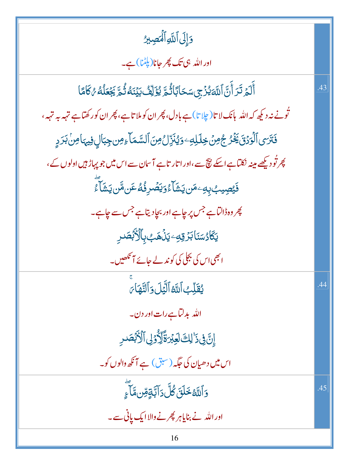| وَإِلَى ٱللَّهِ ٱلْمَصِيرُ                                                                             |     |
|--------------------------------------------------------------------------------------------------------|-----|
| اور اللہ ہی تک پھر جانا(پلٹا) ہے۔                                                                      |     |
| ٲٙڶ <sub>ۘڞ</sub> ٙڗؘ <i>ۮٙ</i> ڗٙٲۧڹٞٲڵڶ <i>ٙ</i> ۊؽ۠ۯ۬ڝؚ؊ڂٲڹٲڐ۫۫ۿؚٙێٷٙڵؚڡ۠ٛڹؽؘٮؘۀڐؙٛۿؖڲؘۼڵڡؗ۠؇ػٲٙٙٙٵ | .43 |
| تُونے نہ دیکھ کہ اللہ پانک لا تا(چلا تا) ہے بادل، پھر ان کو ملا تاہے، پھر ان کور کھتاہے تہہ بہ تہہ،    |     |
| فَتَرَى ٱلْوَدۡقَ يَخۡرُ جُونَ خِلَلِهِۦوَيُنَزِّلُ مِنَ ٱلسَّمَآءِمِن جِبَالٍ فِيهَامِنۡ بَرَدٍ       |     |
| پھر تُو دیکھے مینہ نکتاہے اسکے نیچ سے،اور اتار تاہے آسان سے اس میں جو پہاڑ ہیں اولوں کے،               |     |
| <b>ۮؘ</b> ێؚڝٟۑٮؚ۠ڹؚ؋ؚۦڡؘڹڮۺؘؘٵۧۦ۠ٛۅؘؽڡٞٮڔۏؙ۠ڡ۠ٸٞ؆ڞ۞ۑؘۺؘٲؖۦ۠                                           |     |
| پھر وہڈالٽاہے <sup>جس</sup> پر چاہے اور بچادیتاہے جس سے چاہے۔                                          |     |
| <b>يَكَادُسَنَابَرُقِ</b> تِ يَذُهَبُ بِٱلْأَبۡصَٰرِ                                                   |     |
| ابھی اس کی بجلی کی کو ندلے جائے آ نکھیں۔                                                               |     |
| يُقَلِّبُ اللَّهُ الَّيَلَ وَالنَّهَا َ                                                                | .44 |
| اللہ بدلتاہےرات اور دن۔                                                                                |     |
| إِنَّ فِي ذَٰ لِكَ لَعِبْرَةَّ لِّأَوْلِى ٱلْأَبْصَدِ                                                  |     |
| اس میں دھیان کی جگہ (سبق) ہے آنکھ والوں کو۔                                                            |     |
| <u>ؘ</u><br>وَٱللَّهُ <del>خَ</del> لَقَ کُلَّ دَآ ٱبَّةٍ مِّن مَّاۤ ۚءِ                               | .45 |
| اور الله نے بنایاہر پھرنے والاایک یانی سے۔                                                             |     |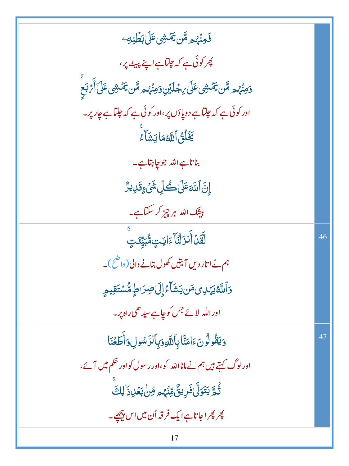| <b>ذَ<sub>هِنَّهُم</sub> مَّن يَمَّشِى عَلَىٰ بَطَٰنِهِ</b> ے                                                |     |
|--------------------------------------------------------------------------------------------------------------|-----|
| پھر کوئی ہے کہ <i>چ</i> لتاہے اپنے پیٹ پر،                                                                   |     |
| ۄ <i>ٙڡۣڹ۫ٞۿ</i> ۄڡ۠ڗ <i>ؾػ</i> ۬ۺٚؽٷٙڶ؈ؚڿڷؽٞڹۣۄؘڡۣڹ۫ۿۄڡ۠ڗؿػۮۺؽڡؘڶؘٲٲٛ <i>ؽ</i> ڹۜعۜ                         |     |
| اور کوئی ہے کہ جلتاہے دوپاؤں پر ،اور کوئی ہے کہ جلتاہے جار پر۔                                               |     |
| يَخَلُقُ اللَّهُمَايَشَاءُ                                                                                   |     |
| بناتاہے اللہ جوجا ہتاہے۔                                                                                     |     |
| ٳۣڹؖٞٲڷڐڡؘڶٙڸۛڂؙڵؚۺؘٛ؏ؚۊؘڸؠڒ۠                                                                                |     |
| بیشک اللہ ہر چیز کر سکتاہے۔                                                                                  |     |
| ڵؘقَّلۡ أَنزَلۡنَآءَايَتٍمُّبَيِّنَتِ                                                                        | .46 |
| ہم نے اتار دیں آیتیں کھول بتانے والی( داضح)۔                                                                 |     |
| <b>ۯ</b> ٲڵڷٙڠؾٕ <i>ٙڸ</i> ؽڡؘڹ۞ؾۺؘٲۦ۠ٳ۪ڶ <i>ٙ</i> ٳڝؚۯٮڟٟۣڡ۠۠ۺؾٙقۣۑۄؚ                                       |     |
| اور اللہ لائے جس کوچاہے سید ھی راہ پر۔                                                                       |     |
| وَيَقُولُونَءَامَنَّابِٱللَّهِوَبِٱلرَّسُولِ وَأَطَعُنَا                                                     | .47 |
| اورلوگ کہتے ہیں ہم نے مانااللہ کو،اور رسول کواور حکم میں آئے،                                                |     |
| ڐؙٛ <sub>ۿ</sub> ۜٙ <i>ؾۊ</i> ؘڵؖ۠ڶۏۜڔؠڹٞ۠ڡؚۨڹ۫ <sub>ؙ</sub> ؠٛۄڡؚۜۨڹ؋ڡڵ <del>ڹ</del> ڡ۬ڸۮؘ <sup>ٚ</sup> ڶڸڰ |     |
| پھر پھراجاتاہےایک فرقہ اُن میں اس پیچھے۔                                                                     |     |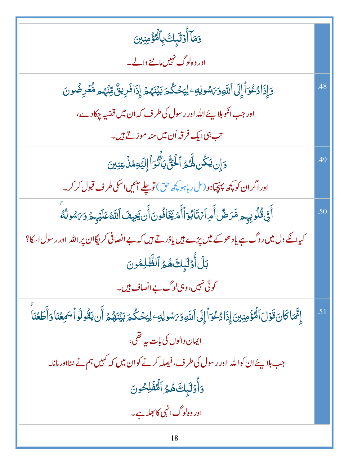| وَمَاۤ أُوۡلَٰٓبِكَ بِٱلۡوَٰۚ مِنِينَ                                                                                                   |     |
|-----------------------------------------------------------------------------------------------------------------------------------------|-----|
| اور وہ لوگ نہیں ماننے والے۔                                                                                                             |     |
| دَإِذَادُعُوٓ أَإِلَى ٱللَّهِوَىَسُولِهِۦلِيَحۡكُمَ بَيۡنَهُمۡ إِذَافَرِينٌّ مِّنۡهُمۡ مُّقۡرِضُونَ                                     | .48 |
| اور جب انګوبلا ہئے اللہ اور رسول کی طرف کہ ان میں قضیہ چکادے،                                                                           |     |
| تب ہی ایک فرقہ اُن میں منہ موڑتے ہیں۔                                                                                                   |     |
| دَإِن يَكُن لَهُمُ ٱلۡئُنَّ يَأۡتُوَاۡۚ إِلَيۡهِمۡذَٰٓ عِنِينَ                                                                          | .49 |
| اور اگر ان کو کچھ پہنچتاہو ( مل رہاہو کچھ حق) تو چلے آئیں اسکی طرف قبول کر کر۔                                                          |     |
| أَفِى قُلُوبِهِهِ مَّرَضٌ أَمِرَ ٱنْ تَابُوٓ ٱأَمۡ يَخَافُونَ أَن يَجِيفَ ٱللَّهُ عَلَيۡهِمۡ وَىَسُولُهُ                                | .50 |
| کیاائکے دل میں روگ ہے یاد ھوکے میں پڑے ہیں یاڈرتے ہیں کہ بے انصافی کریگاان پر اللہ اور رسول اسکا؟                                       |     |
| بَلۡ أَوۡلَٰٓبِكَهُمُ ٱلظَّٰلِمُونَ                                                                                                     |     |
| کوئی نہیں،وہی لوگ بے انصاف ہیں۔                                                                                                         |     |
| إِنَّهَا كَانَ قَوْلَ ٱلْمُؤْمِنِينَ إِذَادُعُوَاْ إِلَى ٱللَّهِوَىَسُولِهِ وَلِيَحْكُمَ بَيۡنَهُمۡ أَن يَقُولُواْسَمِعۡنَا وَأَطَعۡنَا | .51 |
| ایمان دالوں کی بات پہ تھی،                                                                                                              |     |
| جب بلاپئے ان کواللہ   اور رسول کی طرف، فیصلہ کرنے کوان میں کہ کہیں ہم نے منااور مانا۔                                                   |     |
| وَأَوْلَٰٓبِكَ هُمُ ٱلۡهُفۡلِحُونَ                                                                                                      |     |
| اور وہ لوگ انہی کا جلاہے۔                                                                                                               |     |
|                                                                                                                                         |     |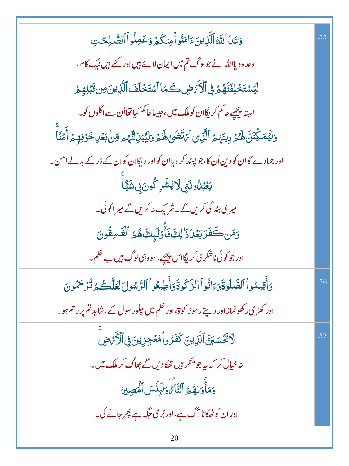| وَعَدَ ٱللَّهُ ٱلَّذِينَ ءَامَنُو أَمِنكُمْ وَعَمِلُواْ ٱلصَّلِحَتِ                                            | .55 |
|----------------------------------------------------------------------------------------------------------------|-----|
| وعدہ دیااللہ نے جولوگ تم میں ایمان لائے ہیں اور کئے ہیں نیک کام،                                               |     |
| لِيَسْتَخْلِفَنَّهُمۡ فِى ٱلْأَمۡضِ كَمَا ٱسۡتَخۡلَفَ ٱلَّٰٓنِينَ مِن قَبَٰلِهِمۡ                              |     |
| البتہ پیچھپے حاکم کریگاان کوملک میں،حبیباحاکم کیاتھااُن سے اگلوں کو۔                                           |     |
| وَلَيُمَكِّنَنَّ لَهُمُرْدِينَهُمُ ٱلَّذِى ٱمۡتَضَىٰ لَهُمۡ وَلَيُبَلِّالَّهُم مِّنۡ بَعۡلِ خَوۡفِهِمۡ أَمۡنَا |     |
| اور جمادے گاان کو دین اُن کا،جو پسند کر دیاان کواور دیگاان کوان کے ڈر کے بدلے امن۔                             |     |
| <b>يَعۡبُ</b> ۢلُونَنِىلَايُشۡمِرۡ كُونَ؋ۣڜَڲۡٓا                                                               |     |
| میر کی بند گی کریں گے۔ شریک نہ کریں گے میر اکوئی۔                                                              |     |
| وَمَن كَفَرَ بَعۡدَ ۚ لِكَ فَأَوۡلَٰٓ بِكَ هُمُ ٱلۡقَسِقُونَ                                                   |     |
| اور جو کوئی ناشکر ی کریگااس پیچھے، سووہی لوگ ہیں بے حکم۔                                                       |     |
| دَأَقِيمُواْ ٱلصَّلَوٰاةَدَءَاتُواْ ٱلزَّكَوٰاةَدَأَطِيعُواْ ٱلزَّسُولَ لَعَلَّكُمَ تُذَكِّمُونَ               | .56 |
| اور کھڑی رکھونماز اور دیتے رہو ز کو ۃ،اور حکم میں جلور سول کے ،شاید تم پر رحم ہو۔                              |     |
| لَاتَّكْسَبَنَّ ٱلَّذِينَ كَفَرُواْمُعُجِزِينَ فِى ٱلْأَرَضِ                                                   | .57 |
| نہ خیال کر کہ ہہ جو منکر ہیں تھکا دیں گے بھاگ کر ملک میں۔                                                      |     |
| وَمَأْوَلِهُمُ ٱلتَّامَّ وَلٰٓبِئۡسَ ٱلۡصِبِيرُ                                                                |     |
| اور ان کو ٹھکانا آگ ہے،اور بُر کی جگہ ہے پھر جانے کی۔                                                          |     |
| 20                                                                                                             |     |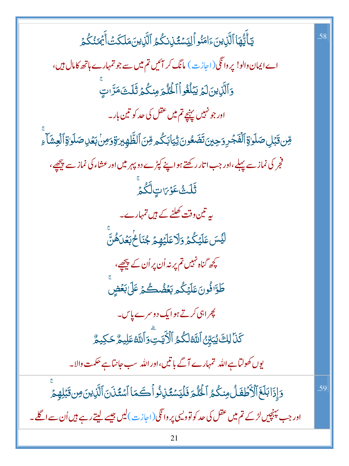يَأَيُّهَا ٱلَّذِينَ ءَامَنُو الِيَسْتَذِنكُمُ ٱلَّذِينَ مَلَكَتُ أَيُمَنُكُمَ .58 اے ایمان دالو! یر دانگی (اجازت) مانگ کر آئیں تم میں سے جو تمہارے ہاتھ کامال ہیں، وَٱلَّٰٓزِينَ لَمَرِيَبۡلُغُواۡٱلۡكُلۡمَ مِنكُمۡ ثَلَتۡ مَرَّاتِ اور جو نہیں پہنچے تم میں عقل کی حد کو تین بار۔ ۊڹ**ۊ**ٞڹڸڞڶۅۊٚٲڶڡؘٛٙڿڔۏڿؾؾؘؖٮؘۛڞؘۼۏؾؘڎۣ۬ؾٲڹػۢۄۊڹٲڶڟؖٞۿ۪ۑڗۊٚۏۄڹۢڹۼڸڞڶۅۊٚٲڶۼۺؘٲۦؚ فجر کی نماز سے پہلے،اور جب اتار رکھتے ہوا پنے کپڑے دو پہر میں اور عشاء کی نماز سے پیچھے، قَلَّتُ عَوْمَاتِ لَكُمْ یہ تین وقت کھلنے کے ہیں تمہارے۔ لَيۡسَ عَلَيۡكُمۡ وَلَا عَلَيۡهُمۡ جُنَاحُ بَعۡلَ هُنَّ کچھ گناہ نہیں تم پر نہ اُن پر اُن کے پیچھے، طَوَّافُونَ عَلَيۡكُم بَعۡضُكُمۡ عَلَىٰ بَعۡضِ پھراہی کرتے ہوا یک دوسرے پاس۔ **كَذَا لِكَ يُبَيِّنُ ٱللَّهُ لَكُمُ ٱلْأَيَتِ وَٱللَّهُ عَلِيمٌ حَكِيمٌ** یوں کھولتاہے اللہ تمہارے آگے باتیں،اور اللہ سب جانتاہے حکمت والا۔ وَإِذَابَلَغَ ٱلْأَطْفَلُ مِنكُمُ ٱلْحُلْمَ فَلَيَسْتُذِنُواْكَمَا ٱسْتَذَنَ ٱلَّذِينَ مِن قَبَلِهِمْ .59 اور جب پہنچیں لڑے **تم می**ں عقل کی حد کو توویسی پر وانگی(اجازت)لیں جیسے لیتے رہے ہیں اُن سے اگلے۔ 21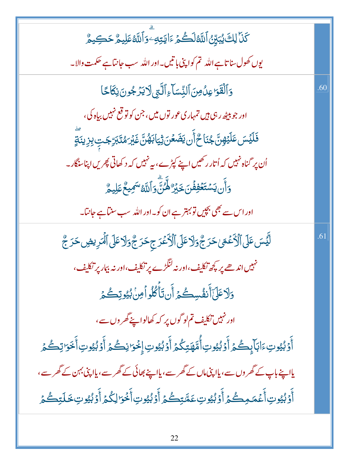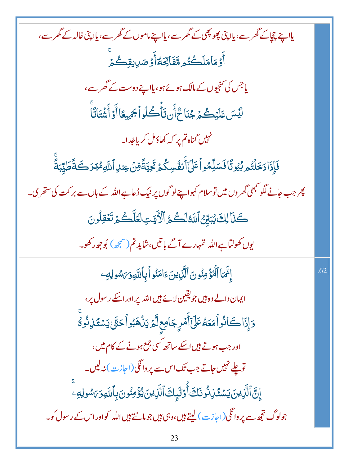| یااپنے چچاکے گھر سے، یااپنی پھو پھی کے گھر سے، یااپنے ماموں کے گھر سے، یااپنی خالہ کے گھر سے،               |     |
|-------------------------------------------------------------------------------------------------------------|-----|
| ِ<br>أَوۡمَامَلَكۡتُم مَّفَاتِّكَةٌ أَوۡصَلِيقِكُمۡ                                                         |     |
| یاجس کی تنجیوں کے مالک ہوئے ہو، یااپنے دوست کے گھر سے،                                                      |     |
| ڶؽٙۺڡؘڶؽٙڴؽ؋ڿۘڹؘٳڂ۠ٲٞڹؾٲؙۜڴؙڶۏٱڿٙڝۣۼٲٲٞۏٲٞۺؘ۫ؾؘٲؾؖٞٵؖ                                                       |     |
| م.<br>مہیں گناہ تم پر کہ کھاؤ <sup>م</sup> ل کریاجُدا۔                                                      |     |
| فَإِذَا دَخَلْتُم بُيُوتًا فَسَلِّمُواْ عَلَىٰٓأَنفُسِكُمۡ تَحِيَّةً مِّنۡ عِندِاللَّهِمُبَدَكَةً طَيِّبَةً |     |
| چر جب جانے لگو کبھی گھر وں میں توسلام کہوا پنےلو گوں پر نیک دُعاہے اللہ کے ہاں سے بر کت کی ستھر ک۔          |     |
| كَنَا لِكَ يُبَيِّنُ ٱللَّهُ لَكُمُ ٱلْأَيَتِ لَعَلَّكُمۡ تَعۡقِلُونَ                                       |     |
| یوں کھولتاہے اللہ تمہارے آگے باتیں،شاید تم(صبحه) بُوجِھ رکھو۔                                               |     |
| إِنَّمَا ٱلْمُؤْمِنُونَ ٱلَّذِينَ ءَامَنُواْ بِٱللَّهِ وَبَاسُولِهِ َ                                       | .62 |
| ایمان والے وہ ہیں جو یقین لائے ہیں اللہ پر اور اسکے رسول پر،                                                |     |
| وَإِذَاكَانُواْمَعَهُ عَلَىٰٓأَمۡرٍ جَامِعِ لَّمۡ يَنۡهَبُواۡكَتَّىٰٓ يَسۡتُمۡزِنُوۡ وُ                     |     |
| اور جب ہوتے ہیں اسکے ساتھ <sup>کسی ج</sup> جع ہونے کے کام میں،                                              |     |
| تو چلے نہیں جاتے جب تک اس سے پر وانگی(اجازت) نہ لیں۔<br>-                                                   |     |
| ٳۣڹؖ۩ڵؖڗؚ۬ؾڹؘؾۺڡؙۘؖڹۣڎؙۏٮؘڶڂٲ۠۫ۏڶڽٟڬٵڷۜڹڹڹؽؽۏؙٶۺۏڹڹؚٲٮڵڸۅۯ؆ۺۅڸڣ                                             |     |
| جولوگ ت <mark>جھ سے پر دا نگی(اجاز ت) لیتے ہیں،وہی ہیں جومانتے ہیں اللہ کواور اس کے رسول کو۔</mark>         |     |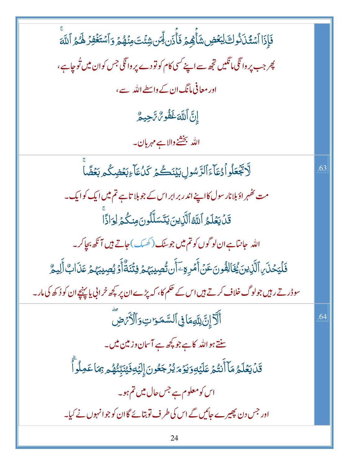| فَإِذَا ٱسْتَكَلَّذُوكَ لِبَعۡضِ شَأَٰهِمۡ فَأَٰذَن لِّمَن شِئۡتَ مِنۡهُمۡ وَٱسۡتَغۡفِرۡ لَهُمُ ٱللَّهَ                     |     |
|-----------------------------------------------------------------------------------------------------------------------------|-----|
| پھر جب پر وا <sup>ن</sup> گی <b>،</b> تنگیں ت <u>جھ سے</u> اپنے <sup>کس</sup> ی کام کو تو دے پر وانگی جس کوان میں تُوجاہے ، |     |
| اور معافی مانگ ان کے داسطے اللہ سے،                                                                                         |     |
| إِنَّ اَللَّهَ غَفُو مُّ سَّجِيعٌ                                                                                           |     |
| الله بخشخ والاہے مہربان۔                                                                                                    |     |
| ڵۘٲ <b>ڮٞۼڵۅٱ</b> ۮؚڡؘٲۦۧٱڵڗؐۺۅڸڹؽٙٮؘ۬ػۿۯػڷؙٵۧۦؚڹ <b>ڂ</b> ۻػ۠ڡڔڹ <b>ڂ</b> ۻۜ۠ٲ                                             | .63 |
| مت ٹھُہر ادَبلانار سول کااپنے اندر بر ابر اس کے جو بلا تاہے تم میں ایک کوایک۔                                               |     |
| قَلۡ يَعۡلَمُ ٱللَّهَ ٱلَّذِينَ يَتَسَلَّلُونَ مِنكُمۡ لِوَاٰذًا                                                            |     |
| اللہ  جانتاہے ان لو گوں کو تم میں جوسٹک (کھسک) جاتے ہیں آ نکھ بجاکر۔                                                        |     |
| فَلۡيَحۡنَىٰٓ ٱلَّذِينَ يُخَالِفُونَ عَنۡ أَمۡرِهِۦٓ أَن تُصِيبَهُمۡ فِتۡنَةٌ أَوۡ يُصِيبَهُمۡ عَذَابٌ أَلِيمُ              |     |
| سوڈر تے رہیں جولوگ خلاف کرتے ہیں اس کے حکم کا، کہ پڑے ان پر کچھ خرانی یا پہنچے ان کو دُکھ کی مار۔                           |     |
| أَلَآ إِنَّ لِلَّهِمَاۚ فِى ٱلسَّمَوَاتِ وَٱلۡأَرۡصِ                                                                        | .64 |
| سنتے ہواللہ کا ہے جو پچھ ہے آس <mark>ان دزمین میں۔</mark>                                                                   |     |
| قَلۡ يَعۡلَمُ مَاۤ أَنۡتُمۡ عَلَيۡهِ وَيَوۡمَ يُرۡجَعُونَ إِلَيۡهِ فَيُنَبِّئُهُمۡ مِمَا عَمِلُوآ                           |     |
| اس کو معلوم ہے جس حال میں تم ہو۔                                                                                            |     |
| اور جس دن پھیرے جائیں گے اس کی طرف تو بتائے گاان کو جوانہوں نے کیا۔                                                         |     |